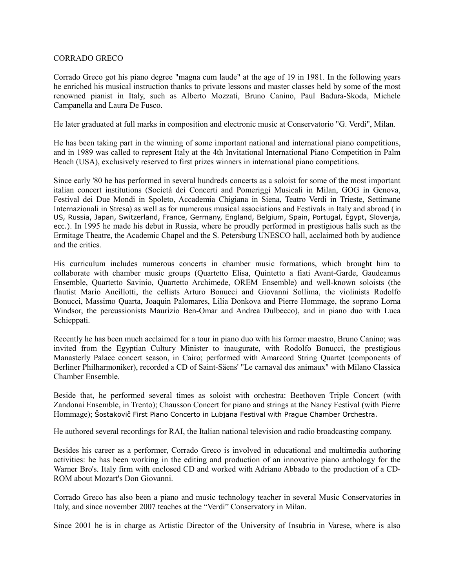## CORRADO GRECO

Corrado Greco got his piano degree "magna cum laude" at the age of 19 in 1981. In the following years he enriched his musical instruction thanks to private lessons and master classes held by some of the most renowned pianist in Italy, such as Alberto Mozzati, Bruno Canino, Paul Badura-Skoda, Michele Campanella and Laura De Fusco.

He later graduated at full marks in composition and electronic music at Conservatorio "G. Verdi", Milan.

He has been taking part in the winning of some important national and international piano competitions, and in 1989 was called to represent Italy at the 4th Invitational International Piano Competition in Palm Beach (USA), exclusively reserved to first prizes winners in international piano competitions.

Since early '80 he has performed in several hundreds concerts as a soloist for some of the most important italian concert institutions (Società dei Concerti and Pomeriggi Musicali in Milan, GOG in Genova, Festival dei Due Mondi in Spoleto, Accademia Chigiana in Siena, Teatro Verdi in Trieste, Settimane Internazionali in Stresa) as well as for numerous musical associations and Festivals in Italy and abroad (in US, Russia, Japan, Switzerland, France, Germany, England, Belgium, Spain, Portugal, Egypt, Slovenja, ecc.). In 1995 he made his debut in Russia, where he proudly performed in prestigious halls such as the Ermitage Theatre, the Academic Chapel and the S. Petersburg UNESCO hall, acclaimed both by audience and the critics.

His curriculum includes numerous concerts in chamber music formations, which brought him to collaborate with chamber music groups (Quartetto Elisa, Quintetto a fiati Avant-Garde, Gaudeamus Ensemble, Quartetto Savinio, Quartetto Archimede, OREM Ensemble) and well-known soloists (the flautist Mario Ancillotti, the cellists Arturo Bonucci and Giovanni Sollima, the violinists Rodolfo Bonucci, Massimo Quarta, Joaquin Palomares, Lilia Donkova and Pierre Hommage, the soprano Lorna Windsor, the percussionists Maurizio Ben-Omar and Andrea Dulbecco), and in piano duo with Luca Schieppati.

Recently he has been much acclaimed for a tour in piano duo with his former maestro, Bruno Canino; was invited from the Egyptian Cultury Minister to inaugurate, with Rodolfo Bonucci, the prestigious Manasterly Palace concert season, in Cairo; performed with Amarcord String Quartet (components of Berliner Philharmoniker), recorded a CD of Saint-Säens' "Le carnaval des animaux" with Milano Classica Chamber Ensemble.

Beside that, he performed several times as soloist with orchestra: Beethoven Triple Concert (with Zandonai Ensemble, in Trento); Chausson Concert for piano and strings at the Nancy Festival (with Pierre Hommage); Šostakovič First Piano Concerto in Lubjana Festival with Prague Chamber Orchestra.

He authored several recordings for RAI, the Italian national television and radio broadcasting company.

Besides his career as a performer, Corrado Greco is involved in educational and multimedia authoring activities: he has been working in the editing and production of an innovative piano anthology for the Warner Bro's. Italy firm with enclosed CD and worked with Adriano Abbado to the production of a CD-ROM about Mozart's Don Giovanni.

Corrado Greco has also been a piano and music technology teacher in several Music Conservatories in Italy, and since november 2007 teaches at the "Verdi" Conservatory in Milan.

Since 2001 he is in charge as Artistic Director of the University of Insubria in Varese, where is also